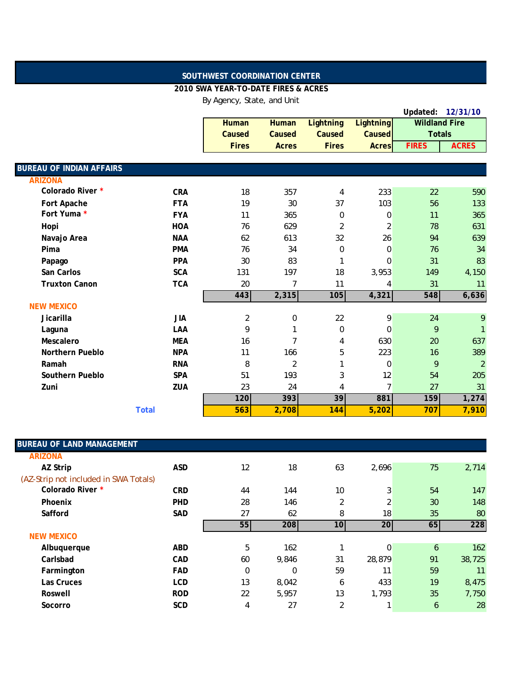## **SOUTHWEST COORDINATION CENTER**

## **2010 SWA YEAR-TO-DATE FIRES & ACRES**

By Agency, State, and Unit

|                                 |              |                |                  |                  |                  |                      | Updated: 12/31/10 |
|---------------------------------|--------------|----------------|------------------|------------------|------------------|----------------------|-------------------|
|                                 |              | <b>Human</b>   | <b>Human</b>     | <b>Lightning</b> | <b>Lightning</b> | <b>Wildland Fire</b> |                   |
|                                 |              | Caused         | Caused           | Caused           | <b>Caused</b>    | <b>Totals</b>        |                   |
|                                 |              | <b>Fires</b>   | <b>Acres</b>     | <b>Fires</b>     | <b>Acres</b>     | <b>FIRES</b>         | <b>ACRES</b>      |
|                                 |              |                |                  |                  |                  |                      |                   |
| <b>BUREAU OF INDIAN AFFAIRS</b> |              |                |                  |                  |                  |                      |                   |
| <b>ARIZONA</b>                  |              |                |                  |                  |                  |                      |                   |
| Colorado River *                | <b>CRA</b>   | 18             | 357              | 4                | 233              | 22                   | 590               |
| Fort Apache                     | <b>FTA</b>   | 19             | 30               | 37               | 103              | 56                   | 133               |
| Fort Yuma *                     | <b>FYA</b>   | 11             | 365              | $\mathbf 0$      | 0                | 11                   | 365               |
| Hopi                            | <b>HOA</b>   | 76             | 629              | $\overline{2}$   | $\overline{2}$   | 78                   | 631               |
| Navajo Area                     | <b>NAA</b>   | 62             | 613              | 32               | 26               | 94                   | 639               |
| Pima                            | <b>PMA</b>   | 76             | 34               | $\mathbf 0$      | 0                | 76                   | 34                |
| Papago                          | <b>PPA</b>   | 30             | 83               | 1                | $\Omega$         | 31                   | 83                |
| San Carlos                      | <b>SCA</b>   | 131            | 197              | 18               | 3,953            | 149                  | 4,150             |
| <b>Truxton Canon</b>            | <b>TCA</b>   | 20             | $\overline{7}$   | 11               | 4                | 31                   | 11                |
|                                 |              | 443            | 2,315            | 105              | 4,321            | 548                  | 6,636             |
| <b>NEW MEXICO</b>               |              |                |                  |                  |                  |                      |                   |
| Jicarilla                       | <b>JIA</b>   | $\overline{2}$ | $\boldsymbol{0}$ | 22               | 9                | 24                   | 9                 |
| Laguna                          | LAA          | 9              | 1                | $\boldsymbol{0}$ | 0                | 9                    | 1                 |
| Mescalero                       | <b>MEA</b>   | 16             | $\overline{7}$   | 4                | 630              | 20                   | 637               |
| Northern Pueblo                 | <b>NPA</b>   | 11             | 166              | 5                | 223              | 16                   | 389               |
| Ramah                           | <b>RNA</b>   | 8              | $\overline{2}$   | 1                | 0                | 9                    | $\overline{2}$    |
| Southern Pueblo                 | <b>SPA</b>   | 51             | 193              | 3                | 12               | 54                   | 205               |
| Zuni                            | <b>ZUA</b>   | 23             | 24               | 4                | $\overline{7}$   | 27                   | 31                |
|                                 |              | 120            | 393              | 39               | 881              | 159                  | 1,274             |
|                                 | <b>Total</b> | 563            | 2,708            | 144              | 5,202            | 707                  | 7,910             |

| <b>BUREAU OF LAND MANAGEMENT</b>      |            |    |          |                 |        |    |        |
|---------------------------------------|------------|----|----------|-----------------|--------|----|--------|
| <b>ARIZONA</b>                        |            |    |          |                 |        |    |        |
| AZ Strip                              | <b>ASD</b> | 12 | 18       | 63              | 2,696  | 75 | 2,714  |
| (AZ-Strip not included in SWA Totals) |            |    |          |                 |        |    |        |
| Colorado River *                      | <b>CRD</b> | 44 | 144      | 10              | 3      | 54 | 147    |
| Phoenix                               | <b>PHD</b> | 28 | 146      | $\overline{2}$  | 2      | 30 | 148    |
| Safford                               | SAD        | 27 | 62       | 8               | 18     | 35 | 80     |
|                                       |            | 55 | 208      | 10 <sup>1</sup> | 20     | 65 | 228    |
| <b>NEW MEXICO</b>                     |            |    |          |                 |        |    |        |
| Albuquerque                           | <b>ABD</b> | 5  | 162      |                 | 0      | 6  | 162    |
| Carlsbad                              | <b>CAD</b> | 60 | 9,846    | 31              | 28,879 | 91 | 38,725 |
| Farmington                            | <b>FAD</b> | 0  | $\Omega$ | 59              | 11     | 59 | 11     |
| Las Cruces                            | <b>LCD</b> | 13 | 8,042    | 6               | 433    | 19 | 8,475  |
| Roswell                               | <b>ROD</b> | 22 | 5,957    | 13              | 1,793  | 35 | 7,750  |
| Socorro                               | <b>SCD</b> | 4  | 27       | $\overline{2}$  |        | 6  | 28     |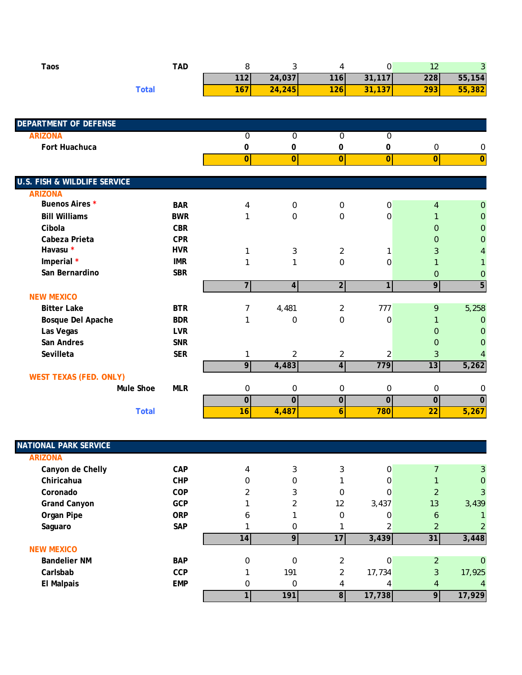| <b>Taos</b>                             | <b>TAD</b>                     | 8                | 3                       | 4                | $\boldsymbol{0}$ | 12               | 3                       |
|-----------------------------------------|--------------------------------|------------------|-------------------------|------------------|------------------|------------------|-------------------------|
|                                         |                                | $\overline{112}$ | 24,037                  | 116              | 31,117           | 228              | 55,154                  |
|                                         | <b>Total</b>                   | 167              | 24,245                  | 126              | 31,137           | 293              | 55,382                  |
|                                         |                                |                  |                         |                  |                  |                  |                         |
| <b>DEPARTMENT OF DEFENSE</b>            |                                |                  |                         |                  |                  |                  |                         |
| <b>ARIZONA</b>                          |                                | $\boldsymbol{0}$ | 0                       | 0                | $\pmb{0}$        |                  |                         |
| Fort Huachuca                           |                                | 0                | 0                       | 0                | 0                | 0                | 0                       |
|                                         |                                | $\overline{0}$   | 0                       | $\overline{0}$   | 0                | $\overline{0}$   | $\overline{\mathbf{0}}$ |
| <b>U.S. FISH &amp; WILDLIFE SERVICE</b> |                                |                  |                         |                  |                  |                  |                         |
| <b>ARIZONA</b>                          |                                |                  |                         |                  |                  |                  |                         |
| Buenos Aires *                          | <b>BAR</b>                     | 4                | 0                       | $\boldsymbol{0}$ | 0                | $\overline{4}$   | 0                       |
| <b>Bill Williams</b>                    | <b>BWR</b>                     | 1                | 0                       | 0                | $\boldsymbol{0}$ | 1                | 0                       |
| Cibola                                  | <b>CBR</b>                     |                  |                         |                  |                  | $\Omega$         | $\Omega$                |
| Cabeza Prieta                           | <b>CPR</b>                     |                  |                         |                  |                  | $\overline{0}$   | $\Omega$                |
| Havasu *                                | <b>HVR</b>                     | 1                | 3                       | $\overline{2}$   | 1                | 3                | 4                       |
| Imperial *                              | <b>IMR</b>                     | 1                | 1                       | 0                | 0                | $\mathbf{1}$     |                         |
| San Bernardino                          | <b>SBR</b>                     |                  |                         |                  |                  | $\mathbf{0}$     | $\mathbf{0}$            |
|                                         |                                | $\overline{7}$   | $\overline{\mathbf{A}}$ | $\overline{2}$   | 1 <sup>1</sup>   | 9                | $\overline{5}$          |
| <b>NEW MEXICO</b>                       |                                |                  |                         |                  |                  |                  |                         |
| <b>Bitter Lake</b>                      | <b>BTR</b>                     | 7                | 4,481                   | $\overline{c}$   | 777              | 9                | 5,258                   |
| Bosque Del Apache                       | <b>BDR</b>                     | 1                | 0                       | 0                | 0                | $\mathbf{1}$     | $\mathbf 0$             |
| Las Vegas                               | <b>LVR</b>                     |                  |                         |                  |                  | $\overline{0}$   | $\Omega$                |
| San Andres                              | <b>SNR</b>                     |                  |                         |                  |                  | $\overline{0}$   | $\Omega$                |
| Sevilleta                               | <b>SER</b>                     | 1                | 2                       | $\overline{2}$   | 2                | 3                | 4                       |
|                                         |                                | $\overline{9}$   | 4,483                   | $\overline{4}$   | 779              | 13               | 5,262                   |
| <b>WEST TEXAS (FED. ONLY)</b>           |                                |                  |                         |                  |                  |                  |                         |
|                                         | <b>Mule Shoe</b><br><b>MLR</b> | 0                | 0                       | 0                | $\boldsymbol{0}$ | $\boldsymbol{0}$ | 0                       |
|                                         |                                | $\overline{0}$   | $\overline{0}$          | $\overline{0}$   | $\overline{0}$   | $\overline{0}$   | $\overline{0}$          |
|                                         | <b>Total</b>                   | 16               | 4,487                   | 6                | 780              | $\overline{22}$  | 5,267                   |

| <b>NATIONAL PARK SERVICE</b> |            |                 |          |                |          |                |        |
|------------------------------|------------|-----------------|----------|----------------|----------|----------------|--------|
| <b>ARIZONA</b>               |            |                 |          |                |          |                |        |
| Canyon de Chelly             | <b>CAP</b> | 4               | 3        | 3              | $\Omega$ |                | 3      |
| Chiricahua                   | <b>CHP</b> | $\Omega$        |          |                | 0        |                | 0      |
| Coronado                     | <b>COP</b> |                 | 3        | 0              | 0        | 2              | 3      |
| <b>Grand Canyon</b>          | <b>GCP</b> |                 |          | 12             | 3,437    | 13             | 3,439  |
| Organ Pipe                   | <b>ORP</b> | 6               |          | 0              | 0        | 6              |        |
| Saguaro                      | <b>SAP</b> |                 | 0        |                |          | 2              |        |
|                              |            | 14 <sup>1</sup> | 9        | 17             | 3,439    | 31             | 3,448  |
| <b>NEW MEXICO</b>            |            |                 |          |                |          |                |        |
| <b>Bandelier NM</b>          | <b>BAP</b> | $\Omega$        | $\Omega$ | 2              | 0        | $\overline{2}$ | 0      |
| Carlsbab                     | <b>CCP</b> |                 | 191      | າ              | 17,734   | 3              | 17,925 |
| <b>El Malpais</b>            | <b>EMP</b> | 0               | 0        |                | 4        | 4              | 4      |
|                              |            |                 | 191      | 8 <sup>1</sup> | 17,738   | 9              | 17,929 |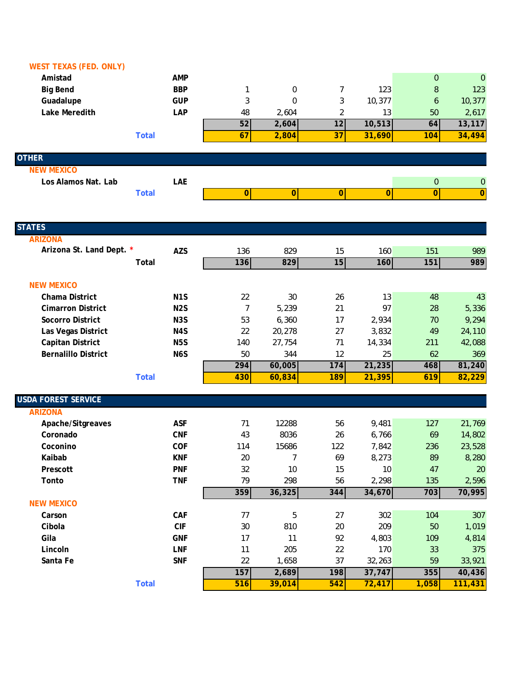| <b>WEST TEXAS (FED. ONLY)</b> |                  |                |                |                 |              |             |                  |
|-------------------------------|------------------|----------------|----------------|-----------------|--------------|-------------|------------------|
| Amistad                       | <b>AMP</b>       |                |                |                 |              | $\mathbf 0$ | $\mathbf{0}$     |
| <b>Big Bend</b>               | <b>BBP</b>       | 1              | 0              | 7               | 123          | 8           | 123              |
| Guadalupe                     | <b>GUP</b>       | 3              | $\Omega$       | 3               | 10,377       | 6           | 10,377           |
| Lake Meredith                 | LAP              | 48             | 2,604          | $\overline{2}$  | 13           | 50          | 2,617            |
|                               |                  | 52             | 2,604          | 12              | 10,513       | 64          | 13,117           |
|                               | <b>Total</b>     | 67             | 2,804          | $\overline{37}$ | 31,690       | 104         | 34,494           |
| <b>OTHER</b>                  |                  |                |                |                 |              |             |                  |
| <b>NEW MEXICO</b>             |                  |                |                |                 |              |             |                  |
| Los Alamos Nat. Lab           | LAE              |                |                |                 |              | $\mathbf 0$ | $\boldsymbol{0}$ |
|                               | <b>Total</b>     | $\overline{O}$ | $\overline{0}$ | 0               | $\mathbf{0}$ | 0           | $\overline{0}$   |
|                               |                  |                |                |                 |              |             |                  |
| <b>STATES</b>                 |                  |                |                |                 |              |             |                  |
| <b>ARIZONA</b>                |                  |                |                |                 |              |             |                  |
| Arizona St. Land Dept. *      | <b>AZS</b>       | 136            | 829            | 15              | 160          | 151         | 989              |
|                               | Total            | 136            | 829            | 15              | 160          | 151         | 989              |
| <b>NEW MEXICO</b>             |                  |                |                |                 |              |             |                  |
| <b>Chama District</b>         | N <sub>1</sub> S | 22             | 30             | 26              | 13           | 48          | 43               |
| <b>Cimarron District</b>      | N <sub>2</sub> S | 7              | 5,239          | 21              | 97           | 28          | 5,336            |
| Socorro District              | N <sub>3</sub> S | 53             | 6,360          | 17              | 2,934        | 70          | 9,294            |
| Las Vegas District            | N4S              | 22             | 20,278         | 27              | 3,832        | 49          | 24,110           |
| <b>Capitan District</b>       | N <sub>5</sub> S | 140            | 27,754         | 71              | 14,334       | 211         | 42,088           |
| <b>Bernalillo District</b>    | N <sub>6</sub> S | 50             | 344            | 12              | 25           | 62          | 369              |
|                               |                  | 294            | 60,005         | 174             | 21,235       | 468         | 81,240           |
|                               | <b>Total</b>     | 430            | 60,834         | 189             | 21,395       | 619         | 82,229           |
| <b>USDA FOREST SERVICE</b>    |                  |                |                |                 |              |             |                  |
| <b>ARIZONA</b>                |                  |                |                |                 |              |             |                  |
| Apache/Sitgreaves             | <b>ASF</b>       | 71             | 12288          | 56              | 9,481        | 127         | 21,769           |
| Coronado                      | <b>CNF</b>       | 43             | 8036           | 26              | 6,766        | 69          | 14,802           |
| Coconino                      | COF              | 114            | 15686          | 122             | 7,842        | 236         | 23,528           |
| Kaibab                        | <b>KNF</b>       | 20             | 7              | 69              | 8,273        | 89          | 8,280            |
| Prescott                      | <b>PNF</b>       | 32             | 10             | 15              | 10           | 47          | 20               |
| Tonto                         | <b>TNF</b>       | 79             | 298            | 56              | 2,298        | 135         | 2,596            |
| <b>NEW MEXICO</b>             |                  | 359            | 36,325         | 344             | 34,670       | 703         | 70,995           |
| Carson                        | <b>CAF</b>       | 77             | 5              | 27              | 302          | 104         | 307              |
| Cibola                        | CIF              | $30\,$         | 810            | 20              | 209          | 50          | 1,019            |
| Gila                          | <b>GNF</b>       | 17             | 11             | 92              | 4,803        | 109         | 4,814            |
| Lincoln                       | <b>LNF</b>       | 11             | 205            | 22              | 170          | 33          | 375              |
| Santa Fe                      | <b>SNF</b>       | 22             | 1,658          | 37              | 32,263       | 59          | 33,921           |
|                               |                  | 157            | 2,689          | 198             | 37,747       | 355         | 40,436           |
|                               | <b>Total</b>     | 516            | 39,014         | 542             | 72,417       | 1,058       | 111,431          |